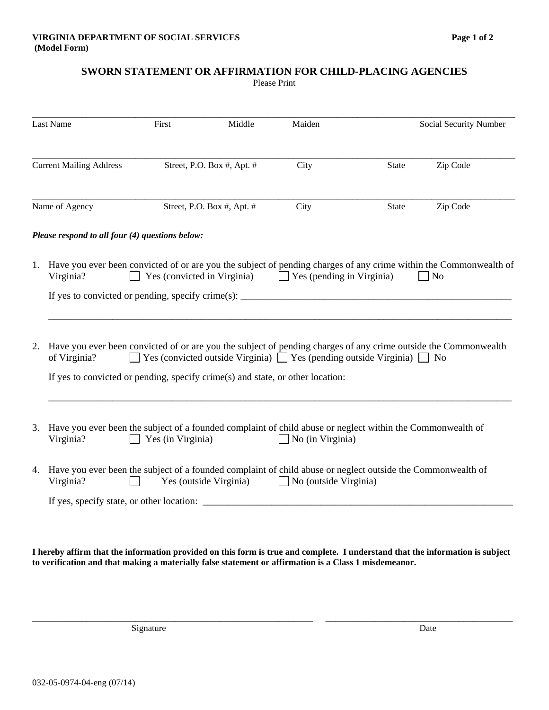## **SWORN STATEMENT OR AFFIRMATION FOR CHILD-PLACING AGENCIES**

Please Print

| <b>Last Name</b><br><b>Current Mailing Address</b> |                                                                                                                                                                                                                                                                                                              | First<br>Middle<br>Street, P.O. Box #, Apt. # |                            | Maiden           |                          | Social Security Number |  |
|----------------------------------------------------|--------------------------------------------------------------------------------------------------------------------------------------------------------------------------------------------------------------------------------------------------------------------------------------------------------------|-----------------------------------------------|----------------------------|------------------|--------------------------|------------------------|--|
|                                                    |                                                                                                                                                                                                                                                                                                              |                                               |                            | City             | Zip Code<br><b>State</b> |                        |  |
|                                                    | Name of Agency                                                                                                                                                                                                                                                                                               |                                               | Street, P.O. Box #, Apt. # | City             | State                    | Zip Code               |  |
|                                                    | Please respond to all four (4) questions below:                                                                                                                                                                                                                                                              |                                               |                            |                  |                          |                        |  |
| 1.                                                 | Have you ever been convicted of or are you the subject of pending charges of any crime within the Commonwealth of<br>Yes (convicted in Virginia) $\Box$ Yes (pending in Virginia)<br>Virginia?<br>N <sub>o</sub>                                                                                             |                                               |                            |                  |                          |                        |  |
|                                                    | If yes to convicted or pending, specify crime(s): $\frac{1}{1}$                                                                                                                                                                                                                                              |                                               |                            |                  |                          |                        |  |
| 2.                                                 | Have you ever been convicted of or are you the subject of pending charges of any crime outside the Commonwealth<br>$\Box$ Yes (convicted outside Virginia) $\Box$ Yes (pending outside Virginia) $\Box$ No<br>of Virginia?<br>If yes to convicted or pending, specify crime(s) and state, or other location: |                                               |                            |                  |                          |                        |  |
|                                                    |                                                                                                                                                                                                                                                                                                              |                                               |                            |                  |                          |                        |  |
|                                                    | 3. Have you ever been the subject of a founded complaint of child abuse or neglect within the Commonwealth of<br>Virginia?                                                                                                                                                                                   | Yes (in Virginia)                             |                            | No (in Virginia) |                          |                        |  |
| 4.                                                 | Have you ever been the subject of a founded complaint of child abuse or neglect outside the Commonwealth of<br>Yes (outside Virginia)<br>$\Box$ No (outside Virginia)<br>Virginia?                                                                                                                           |                                               |                            |                  |                          |                        |  |
|                                                    |                                                                                                                                                                                                                                                                                                              |                                               |                            |                  |                          |                        |  |

**I hereby affirm that the information provided on this form is true and complete. I understand that the information is subject to verification and that making a materially false statement or affirmation is a Class 1 misdemeanor.** 

\_\_\_\_\_\_\_\_\_\_\_\_\_\_\_\_\_\_\_\_\_\_\_\_\_\_\_\_\_\_\_\_\_\_\_\_\_\_\_\_\_\_\_\_\_\_\_\_\_\_\_\_\_\_\_\_\_ \_\_\_\_\_\_\_\_\_\_\_\_\_\_\_\_\_\_\_\_\_\_\_\_\_\_\_\_\_\_\_\_\_\_\_\_\_\_

Signature Date